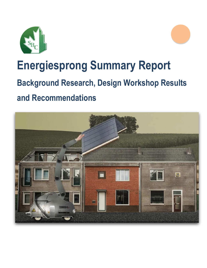



# **Energiesprong Summary Report**

# **Background Research, Design Workshop Results**

# **and Recommendations**

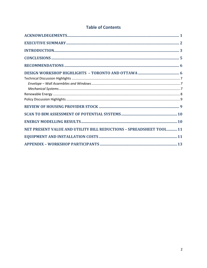# **Table of Contents**

| NET PRESENT VALUE AND UTILITY BILL REDUCTIONS - SPREADSHEET TOOL 11 |
|---------------------------------------------------------------------|
|                                                                     |
|                                                                     |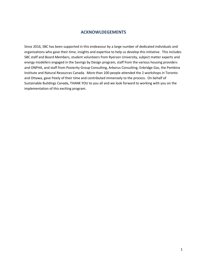# **ACKNOWLDEGEMENTS**

<span id="page-2-0"></span>Since 2016, SBC has been supported in this endeavour by a large number of dedicated individuals and organizations who gave their time, insights and expertise to help us develop this initiative. This includes SBC staff and Board Members, student volunteers from Ryerson University, subject matter experts and energy modellers engaged in the Savings by Design program, staff from the various housing providers and ONPHA, and staff from Posterity Group Consulting, Arborus Consulting, Enbridge Gas, the Pembina Institute and Natural Resources Canada. More than 100 people attended the 2 workshops in Toronto and Ottawa, gave freely of their time and contributed immensely to the process. On behalf of Sustainable Buildings Canada, THANK YOU to you all and we look forward to working with you on the implementation of this exciting program.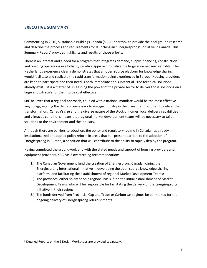# <span id="page-3-0"></span>**EXECUTIVE SUMMARY**

Commencing in 2016, Sustainable Buildings Canada (SBC) undertook to provide the background research and describe the process and requirements for launching an "Energiesprong" initiative in Canada. This Summary Report<sup>1</sup> provides highlights and results of those efforts.

There is an interest and a need for a program that integrates demand, supply, financing, construction and ongoing operations in a holistic, iterative approach to delivering large scale net zero retrofits. The Netherlands experience clearly demonstrates that an open source platform for knowledge sharing would facilitate and replicate the rapid transformation being experienced in Europe. Housing providers are keen to participate and their need is both immediate and substantial. The technical solutions already exist – it is a matter of unleashing the power of the private sector to deliver those solutions on a large enough scale for them to be cost effective.

SBC believes that a regional approach, coupled with a national mandate would be the most effective way to aggregating the demand necessary to engage Industry in the investment required to deliver the transformation. Canada's size and the diverse nature of the stock of homes, local delivery capabilities and climactic conditions means that regional market development teams will be necessary to tailor solutions to the environment and the Industry.

Although there are barriers to adoption, the policy and regulatory regime in Canada has already institutionalized or adopted policy reform in areas that still present barriers to the adoption of Energiesprong in Europe, a condition that will contribute to the ability to rapidly deploy the program.

Having completed the groundwork and with the stated needs and support of housing providers and equipment providers, SBC has 3 overarching recommendations:

- 1.) The Canadian Government fund the creation of Energiesprong Canada, joining the Energiesprong International Initiative in developing the open source knowledge sharing platform, and facilitating the establishment of regional Market Development Teams;
- 2.) The provinces, either solely or on a regional basis, fund the initial establishment of Market Development Teams who will be responsible for facilitating the delivery of the Energiesprong initiative in their regions;
- 3.) The funds derived from Provincial Cap and Trade or Carbon tax regimes be earmarked for the ongoing delivery of Energiesprong refurbishments.

 $\overline{\phantom{a}}$ 

<sup>&</sup>lt;sup>1</sup> Detailed Reports on the 2 Design Workshops are provided separately.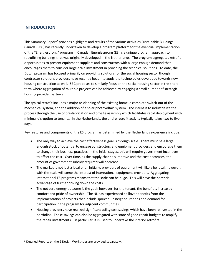# <span id="page-4-0"></span>**INTRODUCTION**

This Summary Report<sup>2</sup> provides highlights and results of the various activities Sustainable Buildings Canada (SBC) has recently undertaken to develop a program platform for the eventual implementation of the "Energiesprong" program in Canada. Energiesprong (ES) is a unique program approach to retrofitting buildings that was originally developed in the Netherlands. The program aggregates retrofit opportunities to present equipment suppliers and constructors with a large enough demand that encourages them to consider large-scale investment in providing the technical solutions. To date, the Dutch program has focused primarily on providing solutions for the social housing sector though contractor solutions providers have recently begun to apply the technologies developed towards new housing construction as well. SBC proposes to similarly focus on the social housing sector in the short term where aggregation of multiple projects can be achieved by engaging a small number of strategic housing provider partners.

The typical retrofit includes a major re-cladding of the existing home, a complete switch-out of the mechanical system, and the addition of a solar photovoltaic system. The intent is to industrialize the process through the use of pre-fabrication and off-site assembly which facilitates rapid deployment with minimal disruption to tenants. In the Netherlands, the entire retrofit activity typically takes two to five days.

Key features and components of the ES program as determined by the Netherlands experience include:

- The only way to achieve the cost effectiveness goal is through scale. There must be a large enough stock of potential to engage constructors and equipment providers and encourage them to change their business practices. In the initial stages, this will require government incentives to offset the cost. Over time, as the supply channels improve and the cost decreases, the amount of government subsidy required will decrease.
- The market is not just a local one. Initially, providers of equipment will likely be local; however, with the scale will come the interest of international equipment providers. Aggregating international ES programs means that the scale can be huge. This will have the potential advantage of further driving down the costs.
- The net zero energy outcome is the goal; however, for the tenant, the benefit is increased comfort and pride of ownership. The NL has experienced spillover benefits from the implementation of projects that include spruced up neighbourhoods and demand for participation in the program for adjacent communities.
- Housing providers have realized significant utility cost savings which have been reinvested in the portfolios. These savings can also be aggregated with state of good repair budgets to amplify the repair investments – in particular, it is used to undertake the interior retrofits.

 $\overline{\phantom{a}}$ 

<sup>&</sup>lt;sup>2</sup> Detailed Reports on the 2 Design Workshops are provided separately.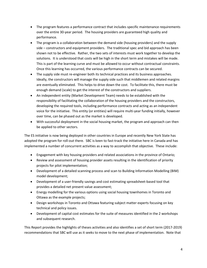- The program features a performance contract that includes specific maintenance requirements over the entire 30-year period. The housing providers are guaranteed high quality and performance.
- The program is a collaboration between the demand side (housing providers) and the supply side – constructors and equipment providers. The traditional spec and bid approach has been shown not to be effective. Rather, the two sets of interests must work together to develop the solutions. It is understood that costs will be high in the short term and mistakes will be made. This is part of the learning curve and must be allowed to occur without contractual constraints. Once this learning has occurred, the various performance contracts can be secured.
- The supply side must re-engineer both its technical practices and its business approaches. Ideally, the constructors will manage the supply side such that middlemen and related margins are eventually eliminated. This helps to drive down the cost. To facilitate this, there must be enough demand (scale) to get the interest of the constructors and suppliers.
- An independent entity (Market Development Team) needs to be established with the responsibility of facilitating the collaboration of the housing providers and the constructors, developing the required tools, including performance contracts and acting as an independent voice for the initiative. This entity (or entities) will require multi-year funding initially, however over time, can be phased out as the market is developed.
- With successful deployment in the social housing market, the program and approach can then be applied to other sectors.

The ES initiative is now being deployed in other countries in Europe and recently New York State has adopted the program for roll-out there. SBC is keen to fast-track the initiative here in Canada and has implemented a number of concurrent activities as a way to accomplish that objective. These include:

- Engagement with key housing providers and related associations in the province of Ontario;
- Review and assessment of housing provider assets resulting in the identification of priority projects for pilot implementation;
- Development of a detailed scanning process and scan to Building Information Modelling (BIM) model development;
- Development of a user-friendly savings and cost estimating spreadsheet-based tool that provides a detailed net present value assessment;
- Energy modelling for the various options using social housing townhomes in Toronto and Ottawa as the example projects;
- Design workshops in Toronto and Ottawa featuring subject matter experts focusing on key technical and policy issues.
- Development of capital cost estimates for the suite of measures identified in the 2 workshops and subsequent research.

This Report provides the highlights of theses activities and also identifies a set of short term (2017-2019) recommendations that SBC will use as it seeks to move to the next phase of implementation. Note that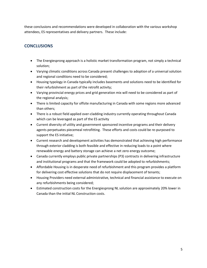these conclusions and recommendations were developed in collaboration with the various workshop attendees, ES representatives and delivery partners. These include:

# <span id="page-6-0"></span>**CONCLUSIONS**

- The Energiesprong approach is a holistic market transformation program, not simply a technical solution;
- Varying climatic conditions across Canada present challenges to adoption of a universal solution and regional conditions need to be considered;
- Housing typology in Canada typically includes basements and solutions need to be identified for their refurbishment as part of the retrofit activity;
- Varying provincial energy prices and grid generation mix will need to be considered as part of the regional analysis;
- There is limited capacity for offsite manufacturing in Canada with some regions more advanced than others;
- There is a robust field applied over-cladding industry currently operating throughout Canada which can be leveraged as part of the ES activity
- Current diversity of utility and government sponsored incentive programs and their delivery agents perpetuates piecemeal retrofitting. These efforts and costs could be re-purposed to support the ES initiative;
- Current research and development activities has demonstrated that achieving high performance through exterior cladding is both feasible and effective in reducing loads to a point where renewable energy and battery storage can achieve a net zero energy outcome;
- Canada currently employs public private partnerships (P3) contracts in delivering infrastructure and institutional programs and that the framework could be adopted to refurbishments;
- Affordable Housing is in desperate need of refurbishment and this program provides a platform for delivering cost effective solutions that do not require displacement of tenants;
- Housing Providers need external administrative, technical and financial assistance to execute on any refurbishments being considered;
- Estimated construction costs for the Energiesprong NL solution are approximately 20% lower in Canada than the initial NL Construction costs.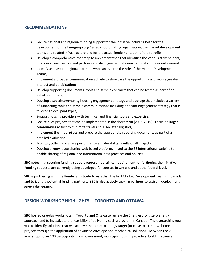# <span id="page-7-0"></span>**RECOMMENDATIONS**

- Secure national and regional funding support for the initiative including both for the development of the Energiesprong Canada coordinating organization, the market development teams and related infrastructure and for the actual implementation of the retrofits;
- Develop a comprehensive roadmap to implementation that identifies the various stakeholders, providers, constructors and partners and distinguishes between national and regional elements;
- Identify and secure regional partners who can assume the role of the Market Development Teams;
- Implement a broader communication activity to showcase the opportunity and secure greater interest and participation;
- Develop supporting documents, tools and sample contracts that can be tested as part of an initial pilot phase;
- Develop a social/community housing engagement strategy and package that includes a variety of supporting tools and sample communications including a tenant engagement strategy that is tailored to occupant types;
- Support housing providers with technical and financial tools and expertise;
- Secure pilot projects that can be implemented in the short term (2018-2019). Focus on larger communities at first to minimize travel and associated logistics;
- Implement the initial pilots and prepare the appropriate reporting documents as part of a detailed evaluation;
- Monitor, collect and share performance and durability results of all projects.
- Develop a knowledge sharing web based platform, linked to the ES International website to enable sharing of regional and international best practices and policies.

SBC notes that securing funding support represents a critical requirement for furthering the initiative. Funding requests are currently being developed for sources in Ontario and at the federal level.

SBC is partnering with the Pembina Institute to establish the first Market Development Teams in Canada and to identify potential funding partners. SBC is also actively seeking partners to assist in deployment across the country.

# <span id="page-7-1"></span>**DESIGN WORKSHOP HIGHLIGHTS – TORONTO AND OTTAWA**

SBC hosted one-day workshops in Toronto and Ottawa to review the Energiesprong zero energy approach and to investigate the feasibility of delivering such a program in Canada. The overarching goal was to identify solutions that will achieve the net zero energy target (or close to it) in townhome projects through the application of advanced envelope and mechanical solutions. Between the 2 workshops, over 100 participants from government, municipal housing providers, building science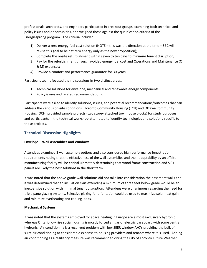professionals, architects, and engineers participated in breakout groups examining both technical and policy issues and opportunities, and weighed those against the qualification criteria of the Energiesprong program. The criteria included:

- 1) Deliver a zero energy fuel cost solution (NOTE this was the direction at the time SBC will revise this goal to be net zero energy only as the new proposition);
- 2) Complete the onsite refurbishment within seven to ten days to minimize tenant disruption;
- 3) Pay for the refurbishment through avoided energy fuel cost and Operations and Maintenance (O & M) expenses;
- 4) Provide a comfort and performance guarantee for 30 years.

Participant teams focused their discussions in two distinct areas:

- 1. Technical solutions for envelope, mechanical and renewable energy components;
- 2. Policy issues and related recommendations.

Participants were asked to identify solutions, issues, and potential recommendations/outcomes that can address the various on-site conditions. Toronto Community Housing (TCH) and Ottawa Community Housing (OCH) provided sample projects (two storey attached townhouse blocks) for study purposes and participants in the technical workshop attempted to identify technologies and solutions specific to those projects.

#### <span id="page-8-0"></span>**Technical Discussion Highlights**

#### <span id="page-8-1"></span>**Envelope – Wall Assemblies and Windows**

Attendees examined 3 wall assembly options and also considered high performance fenestration requirements noting that the effectiveness of the wall assemblies and their adoptability by an offsite manufacturing facility will be critical ultimately determining that wood frame construction and SIPs panels are likely the best solutions in the short term.

It was noted that the above-grade wall solutions did not take into consideration the basement walls and it was determined that an insulation skirt extending a minimum of three feet below grade would be an inexpensive solution with minimal tenant disruption. Attendees were unanimous regarding the need for triple pane glazing systems. Selective glazing for orientation could be used to maximize solar heat gain and minimize overheating and cooling loads.

#### <span id="page-8-2"></span>**Mechanical Systems**

It was noted that the systems employed for space heating in Europe are almost exclusively hydronic whereas Ontario low rise social housing is mostly forced air gas or electric baseboard with some central hydronic. Air conditioning is a recurrent problem with low SEER window A/C's providing the bulk of suite air conditioning at considerable expense to housing providers and tenants where it is used. Adding air conditioning as a resiliency measure was recommended citing the City of Toronto Future Weather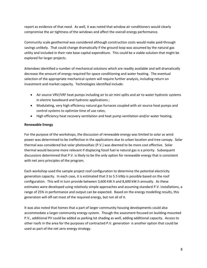report as evidence of that need. As well, it was noted that window air conditioners would clearly compromise the air tightness of the windows and affect the overall energy performance.

Community scale geothermal was considered although construction costs would make paid-through savings unlikely. That could change dramatically if the ground loop was assumed by the natural gas utility and included in their rate base capital expenditure. This could be a viable solution that might be explored for larger projects.

Attendees identified a number of mechanical solutions which are readily available and will dramatically decrease the amount of energy required for space conditioning and water heating. The eventual selection of the appropriate mechanical system will require further analysis, including return on investment and market capacity. Technologies identified include:

- Air source VRV/VRF heat pumps including air to air mini splits and air to water hydronic systems in electric baseboard and hydronic applications ;
- Modulating, very high efficiency natural gas furnaces coupled with air source heat pumps and control systems to optimize time of use rates;
- High efficiency heat recovery ventilation and heat pump ventilation and/or water heating.

#### <span id="page-9-0"></span>**Renewable Energy**

For the purpose of the workshops, the discussion of renewable energy was limited to solar as wind power was determined to be ineffective in the applications due to urban location and tree canopy. Solar thermal was considered but solar photovoltaic (P.V.) was deemed to be more cost effective. Solar thermal would become more relevant if displacing fossil fuel ie natural gas is a priority. Subsequent discussions determined that P.V. is likely to be the only option for renewable energy that is consistent with net zero principles of the program.

Each workshop used the sample project roof configuration to determine the potential electricity generation capacity. In each case, it is estimated that 3 to 5.5 kWp is possible based on the roof configuration. This will in turn provide between 3,600 kW.h and 8,600 kW.h annually. As these estimates were developed using relatively simple approaches and assuming standard P.V. installations, a range of 25% in performance and output can be expected. Based on the energy modelling results, this generation will off-set most of the required energy, but not all of it.

It was also noted that homes that a part of larger community housing developments could also accommodate a larger community energy system. Though the assesment focused on building-mounted P.V., additional PV could be added as parking lot shading as well, adding additional capacity. Access to other roofs in the area for the purposes of contracted P.V. generation is another option that could be used as part of the net zero energy strategy.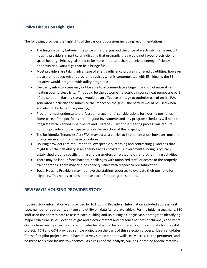# <span id="page-10-0"></span>**Policy Discussion Highlights**

The following provides the highlights of the various discussions including recommendations.

- The huge disparity between the price of natural gas and the price of electricity is an issue, with housing providers in particular indicating that ordinarily they would not favour electricity for space heating. Price signals tend to be more important than perceived energy efficiency opportunities. Natural gas can be a bridge fuel;
- Most providers are taking advantage of energy efficiency programs offered by utilities, however these are not deep retrofit programs such as what is contemplated with ES. Ideally, the ES initiative would integrate with utility programs;
- Electricity infrastructure may not be able to accommodate a large migration of natural gas heating over to electricity. This could be the outcome if electric air source heat pumps are part of the solution. Battery storage would be an effective strategy to optimize use of onsite P.V. generated electricity and minimize the impact on the grid – the battery would be used when grid electricity demand is peaking;
- Programs must understand the "asset management" considerations for housing portfolios. Some parts of the portfolios are not good investments and any program schedules will need to integrate with planned investments and upgrades. Part of the filtering process will require housing providers to participate fully in the selection of the projects;
- The Residential Tenancies Act (RTA) may act as a barrier to implementation; however, most nonprofits are exempt from these conditions;
- Housing providers are required to follow specific purchasing and contracting guidelines that might limit their flexibility in an energy savings program. Government funding is typically established around specific timing and parameters unrelated to other programming activities;
- There may be labour force barriers, challenges with unionized staff, or access to the properly trained trades. There may also be capacity issues with respect to pre-fabrication;
- Social Housing Providers may not have the staffing resources to evaluate their portfolio for eligibility. This needs to considered as part of the program support.

# <span id="page-10-1"></span>**REVIEW OF HOUSING PROVIDER STOCK**

Housing stock information was provided by 10 Housing Providers. Information included address, unit type, number of bedrooms, vintage and utility bill data (where available). For the initial assessment, SBC staff used the address data to assess each building and unit using a Google Map photograph identifying major structural issues, location of gas and electric meters and presence (or not) of chimneys and vents. On this basis, each project was rated on whether it would be considered a good candidate for the pilot project. TCH and OCH provided sample projects on the basis of this selection process. Ideal candidates for the first pilot projects would have relatively simple exterior walls, easy access to the perimeter, and be three to six side-by side townhomes. As a result of the analysis, SBC has identified approximately 20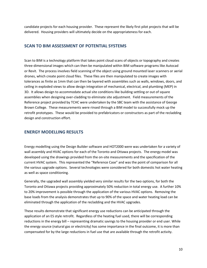candidate projects for each housing provider. These represent the likely first pilot projects that will be delivered. Housing providers will ultimately decide on the appropriateness for each.

# <span id="page-11-0"></span>**SCAN TO BIM ASSESSMENT OF POTENTIAL SYSTEMS**

Scan to BIM is a technology platform that takes point cloud scans of objects or topography and creates three-dimensional images which can then be manipulated within BIM software programs like Autocad or Revit. The process involves field scanning of the object using ground mounted laser scanners or aerial drones, which create point cloud files. These files are then manipulated to create images with tolerances as finite as 1mm that can then be layered with assemblies such as walls, windows, doors, and ceiling in exploded views to allow design integration of mechanical, electrical, and plumbing (MEP) in 3D. It allows design to accommodate actual site conditions like building settling or out of square assemblies when designing over-cladding to eliminate site adjustment. Field measurements of the Reference project provided by TCHC were undertaken by the SBC team with the assistance of George Brown College. These measurements were rinsed through a BIM model to successfully mock up the retrofit prototypes. These would be provided to prefabricators or constructors as part of the recladding design and construction effort.

### <span id="page-11-1"></span>**ENERGY MODELLING RESULTS**

Energy modelling using the Design Builder software and HOT2000 were was undertaken for a variety of wall assembly and HVAC options for each of the Toronto and Ottawa projects. The energy model was developed using the drawings provided from the on-site measurements and the specification of the current HVAC system. This represented the "Reference Case" and was the point of comparison for all the various upgrade options. Several technologies were considered for both domestic hot water heating as well as space conditioning.

Generally, the upgraded wall assembly yielded very similar results for the two options, for both the Toronto and Ottawa projects providing approximately 50% reduction in total energy use. A further 10% to 20% improvement is possible through the application of the various HVAC options. Removing the base loads from the analysis demonstrates that up to 90% of the space and water heating load can be eliminated through the application of the recladding and the HVAC upgrades.

These results demonstrate that significant energy use reductions can be anticipated through the application of an ES style retrofit. Regardless of the heating fuel used, there will be corresponding reductions in the energy bill – representing dramatic savings to the housing provider or end user. While the energy source (natural gas or electricity) has some importance in the final outcome, it is more than compensated for by the large reductions in fuel use that are available through the retrofit activity.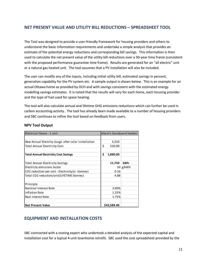# <span id="page-12-0"></span>**NET PRESENT VALUE AND UTILITY BILL REDUCTIONS – SPREADSHEET TOOL**

The Tool was designed to provide a user-friendly framework for housing providers and others to understand the basic information requirements and undertake a simple analysis that provides an estimate of the potential energy reductions and corresponding bill savings. This information is then used to calculate the net present value of the utility bill reductions over a 30-year time frame (consistent with the proposed performance guarantee time frame). Results are generated for an "all electric" unit or a natural gas heated unit. The tool assumes that a PV installation will also be included.

The user can modify any of the inputs, including initial utility bill, estimated savings in percent, generation capability for the PV system etc. A sample output is shown below. This is an example for an actual Ottawa home as provided by OCH and with savings consistent with the estimated energy modelling savings estimates. It is noted that the results will vary for each home, each housing provider and the type of fuel used for space heating.

The tool will also calculate annual and lifetime GHG emissions reductions which can further be used in carbon accounting activity. The tool has already been made available to a number of housing providers and SBC continues to refine the tool based on feedback from users.

| Electrical House - 1 unit                           | electric baseboard heaters |            |
|-----------------------------------------------------|----------------------------|------------|
|                                                     |                            |            |
| New Annual Electrity Usage after solar installation | 3,250                      |            |
| <b>Total Annual Electricity Cost</b>                | \$<br>520.00               |            |
|                                                     |                            |            |
| <b>Total Annual Electricity Cost Savings</b>        | \$<br>1,880.00             |            |
|                                                     |                            |            |
| Total Annual Electricity Savings                    | 11,750                     | kWh        |
| Electricty emissions factor                         |                            | 50 $g/kWh$ |
| CO2 reduction per unit - Electricity/yr (tonnes)    | 0.16                       |            |
| Total CO2 reduction/unit/LIFETIME (tonnes)          | 4.88                       |            |
|                                                     |                            |            |
| Principle                                           |                            |            |
| Nominal Interest Rate                               | 3.00%                      |            |
| Inflation Rate                                      | 1.25%                      |            |
| Real Interest Rate                                  | 1.75%                      |            |
|                                                     |                            |            |
| <b>Net Present Value</b>                            | \$43,589.40                |            |

#### **NPV Tool Output**

# <span id="page-12-1"></span>**EQUIPMENT AND INSTALLATION COSTS**

SBC contracted with a costing expert who undertook a detailed analysis of the expected capital and installation cost for a typical 4-unit townhome retrofit. SBC used the cost spreadsheet provided by the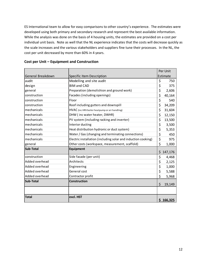ES International team to allow for easy comparisons to other country's experience. The estimates were developed using both primary and secondary research and represent the best available information. While the analysis was done on the basis of 4 housing units, the estimates are provided on a cost per individual unit basis. Note as well that the NL experience indicates that the costs will decrease quickly as the scale increases and the various stakeholders and suppliers fine tune their processes. In the NL, the cost per unit decreased by more than 60% in 4 years.

|                   |                                                               | Per Unit      |
|-------------------|---------------------------------------------------------------|---------------|
| General Breakdown | Specific Item Description                                     | Estimate      |
| audit             | Modelling and site audit                                      | \$<br>750     |
| design            | <b>BIM and CAD</b>                                            | \$<br>375     |
| general           | Preparation (demolishion and ground work)                     | \$<br>2,606   |
| construction      | Facades (including openings)                                  | \$<br>40,164  |
| construction      | Floor                                                         | \$<br>540     |
| construction      | Roof including gutters and downspill                          | \$<br>34,209  |
| mechanicals       | HVAC (inc HRV boiler heatpump or air handling)                | \$<br>31,604  |
| mechanicals       | DHW (inc water heater, DWHR)                                  | \$<br>12,150  |
| mechanicals       | PV system (including racking and inverter)                    | \$<br>13,500  |
| mechanicals       | Interior ducting                                              | \$<br>3,500   |
| mechanicals       | Heat distribution hydronic or duct system)                    | \$<br>5,353   |
| mechanicals       | Water / Gas (changing and terminating connections)            | \$<br>450     |
| mechanicals       | Electric installation (including solar and induction cooking) | \$<br>975     |
| general           | Other costs (workspace, measurement, scaffold)                | \$<br>1,000   |
| <b>Sub-Total</b>  | Equipment                                                     | \$<br>147,176 |
| construction      | Side facade (per unit)                                        | \$<br>4,468   |
| Added overhead    | Architects                                                    | \$<br>2,125   |
| Added overhead    | Engineering                                                   | \$<br>1,000   |
| Added overhead    | General cost                                                  | \$<br>5,588   |
| Added overhead    | Contractor profit                                             | \$<br>5,968   |
| Sub-Total         | <b>Construction</b>                                           | \$<br>19,149  |
|                   |                                                               |               |
| <b>Total</b>      | excl. HST                                                     | \$166,325     |

#### **Cost per Unit – Equipment and Construction**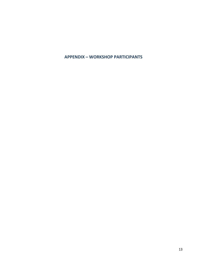<span id="page-14-0"></span>**APPENDIX – WORKSHOP PARTICIPANTS**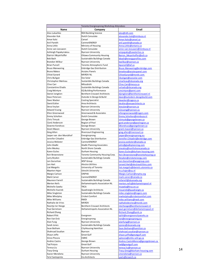|                           | Toronto Energiesprong Workshop Attendees |                                    |  |  |  |  |
|---------------------------|------------------------------------------|------------------------------------|--|--|--|--|
| Name                      | Company                                  | <b>Email</b>                       |  |  |  |  |
| Alex Lukachko             | <b>RDH Building Science</b>              | alex@rdh.com                       |  |  |  |  |
| Alexnder Kok              | Dutch Consulate                          | alexander.kok@minbuza.nl           |  |  |  |  |
| Amar Kalsi                | Cansel                                   | Amar.Kalsi@cansel.ca               |  |  |  |  |
| Anil Parekh               | CanmetENERGY                             | anil.parekh@canada.ca              |  |  |  |  |
| Anna Little               | Ministry of Housing                      | Anna.Little@ontario.ca             |  |  |  |  |
| Anne van-Leeuwen          | <b>Dutch Consulate</b>                   | anne-van.leeuwen@minbuza.nl        |  |  |  |  |
| Ashleigh Papakyriakou     | <b>Ryerson University</b>                | ampapaky@uwaterloo.ca              |  |  |  |  |
| <b>Barron Meyerhoffer</b> | <b>Ottawa Community Housing</b>          | Barron Meyerhoffer@och.ca          |  |  |  |  |
| <b>Bob Bach</b>           | Sustainable Buildings Canada             | bbach@energyprofiles.com           |  |  |  |  |
| <b>Brandon Wilbur</b>     | <b>Ryerson University</b>                | bwilbur@rverson.ca                 |  |  |  |  |
| <b>Brian Purcell</b>      | Toronto Atmospheric Fund                 | bpurcell@taf.ca                    |  |  |  |  |
| <b>Bruce Manwaring</b>    | <b>Enbridge Gas Distribution</b>         | Bruce.Manwaring@enbridge.com       |  |  |  |  |
| <b>Bruno Mateo</b>        | <b>Acrytec Panels</b>                    | bmatteo@acrytecpanel.com           |  |  |  |  |
| Chloé Eynard              | <b>MVRDV NL</b>                          | Chloe Eynard@mvrdv.com             |  |  |  |  |
| Chris Buligan             | Ozz Solar                                | Cbuligan@ozzsolar.com              |  |  |  |  |
| Christopher Marleau       | Sustainble Buildings Canada              | cmarleau@sbcanada.org              |  |  |  |  |
| Clive Carr                | Mitsubishi                               | Clive.Carr@mesca.ca                |  |  |  |  |
| Constantine Eliadis       | Sustainble Buildings Canada              | celiadis@sbcanada.org              |  |  |  |  |
| Craig McIntyre            | <b>EQ Building Performance</b>           | cmcintyre@pemi.com                 |  |  |  |  |
| Daniel Jongtien           | <b>Benthem Crouwel Architects</b>        | djongtien@benthemcrouwel.nl        |  |  |  |  |
| Dave Petersen             | Outside In Design & Build                | dave@outsidein-designbuild.com     |  |  |  |  |
| Dave Wacker               | <b>Costing Specialist</b>                | dwacker@cogeco.ca                  |  |  |  |  |
| David Eckler              | Area Architects                          | deckler@areaarchitects.ca          |  |  |  |  |
| Deva Veylan               | <b>Ryerson University</b>                | dveylan@ryerson.ca                 |  |  |  |  |
| <b>Edward Vuong</b>       | <b>Ryerson University</b>                | e2vuong@ryerson.ca                 |  |  |  |  |
| Ellen Greenwood           | Greenwood & Associates                   | ellengreenwood@rogers.com          |  |  |  |  |
|                           |                                          |                                    |  |  |  |  |
| Emmy Scholten             | Dutch Consulate                          | Emmy.Scholten@minbuza.nl           |  |  |  |  |
| Chris Timusk              | George Brown                             | ctimusk@georgebrown.ca             |  |  |  |  |
| Gord Anderson             | Region of Peel                           | gord.anderson@peelregion.ca        |  |  |  |  |
| Graeme Kondruss           | George Brown                             | GKondruss@georgebrown.ca           |  |  |  |  |
| Grant Mason               | <b>Ryerson University</b>                | grant.mason@ryerson.ca             |  |  |  |  |
| Greg Allen                | <b>Rivercourt Engineering</b>            | greg.allen@rivercourt.ca           |  |  |  |  |
| Jasper van den Munckhof   | Energiesprong                            | jasper@energiesprong.eu            |  |  |  |  |
| Jennifer Cittadini        | <b>Enbridge Gas Distribution</b>         | Jennifer. Cittadini@enbridge.com   |  |  |  |  |
| Jessica Webster           | CanmetENERGY                             | jessica.webster@canada.ca          |  |  |  |  |
| John Gladki               | <b>Gladki Planning Associates</b>        | john@gladkiplanning.com            |  |  |  |  |
| John Mealey               | North Shore Canada                       | jmealey@northshorecanada.ca        |  |  |  |  |
| Karen Eccles              | Durham Housing                           | Karen.Eccles@durham-housing.com    |  |  |  |  |
| Keir Brownstone           | Toronto Community Housing Corp.          | Keir.Brownstone@torontohousing.ca  |  |  |  |  |
| Larry Brydon              | Sustainable Buildings Canada             | lbrydon@cricketenergy.com          |  |  |  |  |
| Len Gurunlian             | <b>WSP Group</b>                         | Len.Gurunlian@wspgroup.com         |  |  |  |  |
| Len Hart                  | <b>Alectra Utilities</b>                 | Lenard.Hart@alectrautilities.com   |  |  |  |  |
| Liat Margolis             | University of Toronto                    | liat.margolis@daniels.utoronto.ca  |  |  |  |  |
| Maarten Hajer             | Utrecht University                       | m.a.hajer@uu.nl                    |  |  |  |  |
| Margie Carlson            | <b>ONPHA</b>                             | Margie.Carlson@onpha.org           |  |  |  |  |
| Mark Carver               | CanmetENERGY                             | <u>mark.carver@canada.ca</u>       |  |  |  |  |
| Maureen Farrell           | Sustainable Buildings Canada             | mfarrell@sbcanada.org              |  |  |  |  |
| <b>Merten Nefs</b>        | Deltametropolis Association NL           | merten.nefs@deltametropool.nl      |  |  |  |  |
| Michelle Sawka            | <b>TRCA</b>                              | msawka@trca.on.ca                  |  |  |  |  |
| Michelle Xuereb           | Quadrangle Architects                    | mxuereb@quadrangle.ca              |  |  |  |  |
| Mike Singleton            | Sustainable Buildings Canada             | mike-singleton@rogers.com          |  |  |  |  |
| Mike Whelpley             | Cricket Comfort                          | mwhelpley@cricketcomfort.com       |  |  |  |  |
| Mike Williams             | RWDI                                     | mike.williams@rwdi.com             |  |  |  |  |
| Nathalie de Vries         | <b>MVRDV</b>                             | nathaliedevries@mvrdv.com          |  |  |  |  |
| Noortje ter Heege         | <b>Benthem Crouwel Architects</b>        | nterheege@benthemcrouwel.nl        |  |  |  |  |
| Paul Gerretsen            | Deltametropolis Association NL           | paul.gerretsen@deltametropool.nl   |  |  |  |  |
| <b>Richard Zhang</b>      |                                          | Richard.Zhang@york.ca              |  |  |  |  |
| Robert Plitt              | Evergreen                                | rplitt@evergreencityworks.ca       |  |  |  |  |
| Ron Van Erck              | Energiesprong                            | ron@energiesprong.eu               |  |  |  |  |
| Alan Fung                 | <b>Ryerson University</b>                | alanfung@ryerson.ca                |  |  |  |  |
| Sarah Jones               | Sustainable Buildings Canada             | sjones@sbcanada.org                |  |  |  |  |
| Sean Botham               | CityHousing Hamilton                     | Sean.Botham@hamilton.ca            |  |  |  |  |
| Shahrzad Soudian          | Ryerson                                  | shahrzad.soudian@ryerson.ca        |  |  |  |  |
| Shaun Joffe               | Great Gulf                               | shaun.joffe@greatgulf.com          |  |  |  |  |
| Silvio Plescia            | <b>CMHC</b>                              | splescia@cmhc-schl.gc.ca           |  |  |  |  |
|                           |                                          |                                    |  |  |  |  |
| Andres Castro             | George Brown                             | Andres.CastroMorera@georgebrown.ca |  |  |  |  |
| Tad Putyra                | <b>Great Gulf</b>                        | tad@greatgulf.com                  |  |  |  |  |
| Teresa Liu                | <b>Ryerson University</b>                | teresa.liu@ryerson.ca              |  |  |  |  |
| Tracy Greig               | Durham Housing                           | Tracy.Greig@durham-housing.com     |  |  |  |  |
| Xavier Mendieta           | <b>Ryerson University</b>                | cmendieta@ryerson.ca               |  |  |  |  |
| Ya'el Santopinto          | Era Architects                           | vaels@eraarch.ca                   |  |  |  |  |